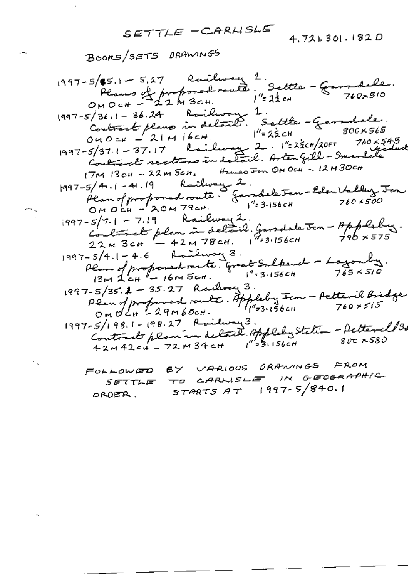SETTLE -CARLISLE

 $\mathbb{R}^2$ 

 $\overline{a}$ 

×.

 $4.721.301.1820$ 

FOLLOWED BY VARIOUS ORAWINGS FROM TO CARLISLE IN GEOGRAPHIC SETTLE  $STARTSAT$  (997-5/840.1) ORDER.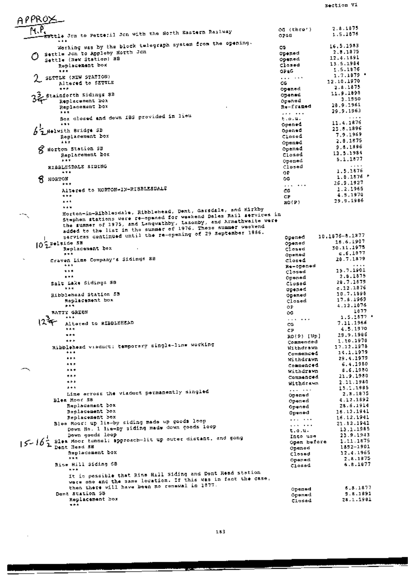section Vi

APPROX  $\overline{M}$ . $\overline{P}$  $2.8.1875$ os (thro') Bttle Jon to Petteril Jon with the North Sastern Railway 1.5.1676 OPAG. Working was by the block telegraph system from the opening. 16.5.1983 CG. O Settle Jon to Appleby North Jon 2.8.1875 opened 12.4.1891 Settle (New Station) 88 opened 13.5.1984 closed Replacement box 1.5.1876 OP 6G  $\ddot{\cdots}$ 1.7.1879 .  $2$  settle (NEW STATION) . . . . . . . 12.10.1970 Altered to SETTLE CG.  $7.8.1875$ .<br>я т к opened 11.9.1898 32 Stainforth Sidings 38 opened 3.1950 Opened Replacement box 28.9.1961 Replacement box Re-framed 29.9.1963  $1.11$ . *. .* . . . Box closed and down IBS provided in lieu  $E = 0.14$ 11.4.1876  $4 + 1$ Goened 25.8.1896 AS Helwith Bridge SB Opened 7.9.1969 Replacement box Closed 2.8.1875 4.63 Opened  $9.8.1896$ Opened & Horton Station SB 13.5.1984 Replacement box closed  $5.1.1877$  $+ + +$ Opened RIBBLESDALE SIDING Closed 1.5.1876 ΟP.  $...$  $1.0.1876$  \* Я ноктом ĎĞ. 26.9.1927  $...$ . . . . . . . Altered to HORTON-IN-RIBBLESDALE 1.2.1965 ca. 4.5.1970  $***$ **CP** 29.9.1986  $\ddot{a}$  $RO(P)$ Horten-in-Ribblesdale, Ribblehead, Dent, Garsdale, and Kirkby  $+ + +$ Stephen stations were re-opened for weakend Dales Rail services in the summer of 1975, and Lengwathby, Lazonby, and Armethwaite were<br>added to the list in the summer of 1976. These summer weekend services continued until the re-opening of 29 September 1986. 10.1875-8.1877 opened  $10^{25+1 \text{side } 58}$ opened 16.6.1907 30.11.1975 Replacement bex Clased  $6.6.1877$ .. Opened  $28.7.1879$ Craven Lime Company's Sidings SB closed Re-opened 15.7.1901  $\pm 5.5$ Closed 2.8.1875  $\overline{a}$ Opened 28.7.1679 Salt Lake Sidings SB closed  $c.12.1876$ opened. 10.7.1898 Ribblehead Station 55 Opened 17.8.1969 Replacement box Closed 4.12.1876  $...$ 0P 1877 **BATTY GREEN** ÒG. 1.5.1877  $\bullet$  +  $\bullet$  $12^{3}$ . . . . **. . .** 7.11.1966 Altered to RIBBLEEEAD CG. 4.5.1970 \*\*\* СP  $...$ 29.9.1986 RO(9) [Up]  $+ + +$ 1.10.1976 Cammanded Ribblehead visduct: temporary single-line working 17.12.1978 Withdrawn ... 14.1.1979 Commenced  $...$ 29.4.1979 withdrawn  $...$ 6.4.1980 Commenced \*\*\* 8.6.1980 Withdrawn e n e 21.9.1980 Commenced  $\star \star \star$ 2.11.1980 Withdrawn 13.1.1985  $+ + +$ . . . . . . . Line across the viaduct permanently singled 2.8.1875 Opened Blea Moor SB 4.12.1892 Opened Replacement box 28.6.1914 Opened Replacement box 16.12.1941 Opened Replacement box 16.12.1941 Blee Moor: up lie-by siding made up goods loop<br>Down No. 1 lie-by siding made down goods loop  $\mathbf{z}$  ,  $\mathbf{z}$  , and  $\mathbf{z}$ 21.12.1941  $\cdots$  . . . . 13.1.1985  $t_{\rm c}$ .u. Down goods loop 23.9.1943 Into use  $5 - 16$  also Moor tunnel: approach-lit up outer distant, and gong Open before 1.11.1875 1892-1901 Opened Replacement box 12.4.1965 Closed 2.8.1875  $...$ Opened Rise Hill Siding SB 6.8.1877 Closed  $n + k$ It is possible that Rise Hill Siding and Dent Read station were one and the same location. If this was in fact the case, then there will have been no remawal in 1877. 5.8.1877 Opened **9.8.1891** Dent Station SB Opened Replacement box 28.1.1901 Closed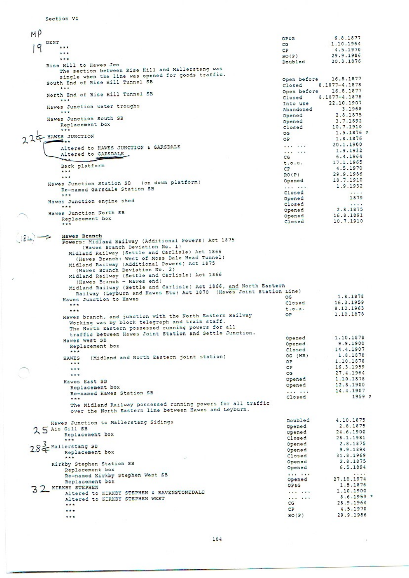$M<sub>0</sub>$ 6.8.1877 OPAG DENT 1.10.1964 CG. 19  $\ddotsc$ 4.5.1970  $CD$  $\cdots$  $RO(P)$ 29.9.1986 ... 20.3.1876 Doubled Rise Hill to Hawes Jon The section between Rise Hill and Mallerstang was single when the line was opened for goods traffic.<br>South End of Rise Hill Tunnel SB 16.8.1877 Open before Closed 8.1877-4.1878 Open before 16.8.1877 North End of Rise Hill Tunnel 5B 8.1877-4.1878 Closed 22.10.1907 Into use Hawes Junction water troughs 3.1968 Abandoned Opened 2.8.1875 Hawes Junction South SB Opened 3.7.1892 Replacement box 10.7.1910 Closed  $22F$  HAWES JUNCTION  $...$  $1.5.1876$  ? os. OP 1.8.1876 20.1.1900 Altered to HAWES JUNCTION & GARSDALE ... ... 1.9.1932 . . . . . . Altered to GARSDALE 6.4.1964 CG **SP** 17.1.1965  $t.0.9.$ Back platform  $4.5.1970$ CP.  $\overline{\cdots}$ 29.9.1986  $RO(P)$  $1.1$ Opened 10.7.1910 Hawes Junction Station SB (on down platform) 1.9.1932  $\cdots$ Re-named Garsdale Station SB Closed  $\ldots$ 1879 Opened Hawes Junction engine shed closed 2.8.1875 opened Hawes Junction North SB Opened 16.8.1891 Replacement box 10.7.1910 Closed \*\*\* Hawes Branch  $98F \rightarrow$ Powers: Midland Railway (Additional Powers) Act 1875 (Hawes Branch Deviation No. 1) Midland Railway (Settle and Carlisle) Act 1866 (Hawes Branch: West of Moss Dale Head Tunnel) Midland Railway (Additional Powers) Act 1875<br>Midland Railway (Additional Powers) Act 1875 Midland Railway (Settle and Carlisle) Act 1866 (Hawes Branch - Hawes end) (nawes pranch - nawes eng)<br>
Midland Railway (Settle and Carlisle) Act 1866, and North Eastern<br>
Railway (Leyburn and Hawes Etc) Act 1870 (Hawes Jeint Station Line)<br>
Hawes Junction to Hawes 1.8.1878 16.3.1959 Closed ... 8.12.1963  $t.0.4$ .  $...$ OP 1.10.1878 Hawes branch, and junction with the North Eastern Railway Working was by block telegraph and train staff. The North Eastern possessed running powers for all traffic between Hawes Joint Station and Settle Junction. 1.10.1878 Opened Hawes West SB Opened 9.9.1900 Replacement box 14.4.1907 Closed  $OG(MR)$ 1.8.1878 (Midland and North Eastern joint station) **HAWES** 1.10.1878 OP  $2.44$ 16.3.1959  $CP$  $***$ 27.4.1964 CG  $***$ Opened 1.10.1878 Hawes East SB Opened 12.8.1900 Replacement box 14.4.1907 Re-named Hawes Station SB 1959 7 Closed The Midland Railway possessed running powers for all traffic over the North Eastern line between Hawes and Leyburn. Doubled 4.10.1875 Hawes Junction to Mallerstang Sidings 2.8.1875 Opened  $25$  Ais Gill SB opened 24.6.1900 Replacement box Closed 28.1.1981 \*\*\* Opened 2.8.1875  $28\overset{3}{\leftarrow}$  Mallerstang SB 9.9.1894 Opened Replacement box 31.8.1969  $\overline{\text{closed}}$ 7.24 2.8.1875 Opened Kirkby Stephen Station SB Opened  $6.5.1894$ Replacement box Re-named Kirkby Stephen West SB . . . . . . 27.10.1974 Opened Replacement box 1.5.1876 OPEG 32 KIRKBY STEPHEN Altered to KIRKBY STEPHEN & RAVENSTONEDALE 1.10.1900  $\cdots$ 8.6.1953 Altered to KIRKBY STEPHEN WEST  $......$ 28.9.1964  $CG$ \*\*\* 4.5.1970 **CP**  $...$  $RO(P)$ 29.9.1986  $...$ 

Section VI

$$
\mathcal{L}_{\mathcal{A}}(x)
$$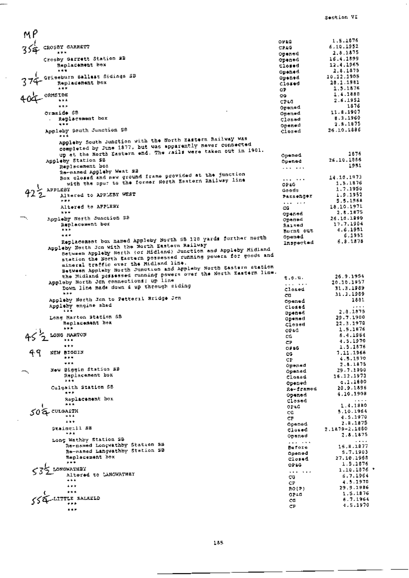Section VI

 $MP$ 1.5.1676  $3/4$  crossy garrers 0210 6.10.1952  $CPLG$ 2.8.1875 **B 19 19** Opened Crosby Garrett Station SB 16.4.1899 **Opened** Replacement box 12.4.1965 closed ... 2.8.1875 Opened Grissburn Ballast Sidings SB 10.12.1905 opened. Replacement box 28.1.1981  $\overline{c}$ losed 1.5.1876  $...$ OP. 1.4.1880 ORMSIDE os. 2.6.1952  $...$ CPEG 1876  $***$ Opened 11.8.1907 Ormside SB Opened . Replacement box 8.3.1960 Closed  $2.8.1875$  $- +$ Opened Appleby South Junction SB closed 26.10.1886  $...$ Appleby South Junction with the North Eastern Railway was completed by June 1877, but was apparently never connected<br>completed by June 1877, but was apparently never connected<br>up at the Rorth Eastern end. The rails were taken out in 1901. 1676 Opened Appleby Station SB 26.10.1886 Opened Replacement box 1951  $\cdots$ Re-named Appleby West 22 Box closed and new ground frame provided at the junction 14.10.1973 with the spur to the former North Eastern Railway line  $\sim$   $\sim$   $\sim$ 1.5.1876 OP&G  $42\frac{2}{2}$  APPLEBY 1,7.1950 Goods Altered to APPLEBY WEST 1.9.1952 **Passenger** 5.5.1968 大家界 متبر الملاء Altered to APPLESY 18,10,1971 ĊĠ 2.8.1875  $7.77$ opened Appleby North Junction SB 26.10.1990 Opened Replacement bex 17.7.1904 Raised 4.6.1951  $...$ Barnt out  $...$ 6.1951 Replacement box named Appleby North SB 120 yards further north **Opened** Inspected  $6.3.1378$ Appleby North Jon with the North Eastern Railway Between Appleby North (of Midland) Junction and Appleby Midland<br>station the Morth Sastern possessed running powers for goods and mineral traffic over the Midland line. minessa tratate over the minimum and Appleby North Eastern station<br>the Midland pessessed running powers over the North Eastern line.<br>Appleby North Jon connections: up line 26.9.1954  $t, \phi, u$ . 20.10.1957 . . . . . . Down line made down a up through siding 31.3.1989 Closed  $***$ 31.3.1989 cs. Appleby North Jan to Petteril Sridge Jan 1881 Coened Apoleby engine shed closed 2.8.1875 **Spened** Long Marton Station SB 29.7.1900 Opened Replacement box 22.3.1970  $C$ losad  $k = 5$ 1.5.1876 OPAG  $\frac{1}{2}$  loss mater 5.4.1964 CG. 4.5.1970 СP  $...$ 1.5.1876 OPAG 49 NEW BIGGIN 7.11.1966 ĊG.  $\mathbf{r}$  ,  $\mathbf{r}$ 4.5.1970 CP  $...$ 2.4.1875 Opened New Biggin Station 58 29.7.1900 Opened Replacement box 16.12.1973 Closed **A 6 9**  $c.1.1600$ opened Culgaith Station SB 20.9.1896 Re-framed ... 4.10.1908 Opened Replacement box Closed  $\ddot{\phantom{a}}$  $1.4.1880$ OP&G  $502$  CULGALTH 5.10.1964 CĠ 4.5.1970 CP  $\overline{1}$  $7.8.1875$ Opened Staing<sub>2</sub>11 SS 2.1879-2.1880 Closed ⊶⊶ 2.8.1875 Opened Long Wathby Station SB  $2.477 \pm 0.004$ Re-named Longwathby Station SB 15,8,1877 Before Re-named Langwathby Station SB Opened 5.7.1903 Replacement box 27.10.1968 closed  $\ddotsc$ 1.5.1876 OPEG S LONGWATHEY  $1.10.1876$  \*  $\cdots$  . . . . Altered to CANGWATHEY 6.7.1964 CG.  $+ + +$ 4.5.1970 CP.  $\overline{\mathbf{r}}$  ,  $\overline{\mathbf{r}}$ 29.9.1986 ROTEL  $...$ 1.5.1876 OPAG LITTLE SALEELD 5.7.1964 CG.  $\rightarrow$ 4.5.1970 CP  $5.5.7$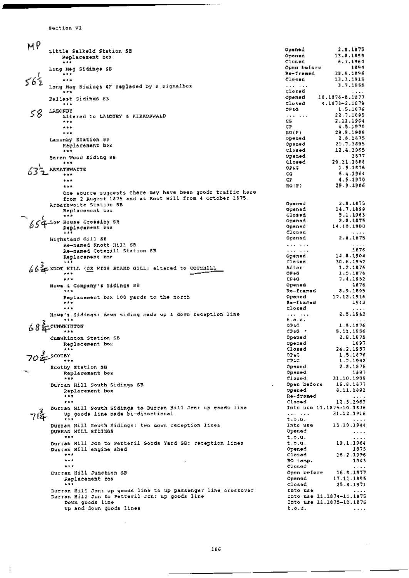Section VI

j

| MP  |                                                                                                                 |                          |                                       |
|-----|-----------------------------------------------------------------------------------------------------------------|--------------------------|---------------------------------------|
|     | Little Salkeld Station 5B                                                                                       | Opened                   | 2.8.1875                              |
|     | Replacement box                                                                                                 | Opened                   | 13.8.1899                             |
|     | ***                                                                                                             | Closed                   | 6.7.1964<br>1894                      |
|     | Long Meg Sidings SB                                                                                             | Open before<br>Re-framed | 28.6.1896                             |
|     | ***<br>***                                                                                                      | Closed                   | 13.3.1915                             |
|     | Long Meg Sidings GF replaced by a signalbox                                                                     | $2.22 - 1.24$            | 3.7.1955                              |
|     | ***                                                                                                             | Clesse                   | $\alpha$ , $\alpha$ , $\alpha$        |
|     | Ballast Sidings SB                                                                                              | Opened                   | 10.1876-6.1877                        |
|     | $+ + +$                                                                                                         | Closed                   | 4.1878-2.1879                         |
| 58  | LAZONDY                                                                                                         | <b>DPEG</b>              | 1.5.1876                              |
|     | Altered to LAZONEY & KIRKOSWALD                                                                                 | <b>Carlo Carlo</b><br>co | 22.7.1895<br>2.11.1964                |
|     | $* * * *$<br>$* * *$                                                                                            | СP                       | 4.5.1970                              |
|     | ***                                                                                                             | RO(P)                    | 29.9.1986                             |
|     | Lazonby Station SB                                                                                              | Opened                   | 2.8.1875                              |
|     | Replacement box                                                                                                 | Opened                   | 21.7.1895                             |
|     | $\cdots$                                                                                                        | Closed                   | 12.4.1965<br>1677                     |
|     | Baron Wood Siding SB                                                                                            | Opened<br><b>Closed</b>  | 20.11.1888                            |
|     | $\bullet\hspace{0.1cm}\bullet\hspace{0.1cm}\bullet\hspace{0.1cm}\bullet$<br>ARMATHWAITE                         | OP KG.                   | 1.5.1876                              |
|     | ***                                                                                                             | CG.                      | 6.4.1964                              |
|     |                                                                                                                 | CF.                      | 4.5.1970                              |
|     | ***                                                                                                             | ROI 2).                  | 29.9.1986                             |
|     | One source suggests there may have been goods traffic here                                                      |                          |                                       |
|     | from 2 August 1875 and at Knot Hill from 4 October 1675.                                                        |                          |                                       |
|     | Armathwaite Station SB                                                                                          | Opened<br>Opened         | 2.8.1875<br>14.7.1899                 |
|     | Replacement box<br>***                                                                                          | Closed                   | 5.1.1983                              |
|     | $654$ -Low House Crossing SB                                                                                    | Opened                   | 2.8.1875                              |
|     | Replacement box                                                                                                 | Opened                   | 14.10.1900                            |
|     | .                                                                                                               | Closed                   | 1.1.1.1                               |
|     | Bighstand Gill 58                                                                                               | Opened                   | 2.8.1875                              |
|     | ke-named Knott Hill SB                                                                                          | .                        | $\sim$ $\sim$ $\sim$ $\sim$<br>2876   |
|     | Re-named Cotehill Station SB<br>Replacement box                                                                 | . <i>. .</i><br>030n0d   | 14.8.1904                             |
|     |                                                                                                                 | Closed                   | 30.6.2952                             |
|     | $66$ $f$ knor HILL (or HIGH STAND GILL) altered to COTERILY                                                     | After                    | 1.2.1876                              |
|     | ***                                                                                                             | OP&G                     | 1.5.1876                              |
|     | <b>PAR</b>                                                                                                      | CP+G                     | 7.4.1952<br>1876                      |
|     | Howe E Company's Sidings SB                                                                                     | Openea<br>$R=-1$ ramod   | 8.9.1895                              |
|     | Replacement box 100 yards to the north                                                                          | Орелес                   | 17.12.1916                            |
|     | ***                                                                                                             | Re-Itamed                | 1943                                  |
|     | ***                                                                                                             | Closed                   | $\cdots$                              |
|     | Howe's Sidings: down siding made up & down reception line                                                       | $\cdots$                 | 2.5.1943                              |
|     | ***                                                                                                             | t.o.u.<br>02 LG          | $\cdots$<br>1.5.1876                  |
|     | CUNAHINTON<br>                                                                                                  | CP4G -                   | 5.11.1956                             |
|     | Cumwhinton Station SB                                                                                           | Opened                   | 2.8.1875                              |
|     | Replacement box                                                                                                 | Opened                   | 1897                                  |
|     | $+ + +$                                                                                                         | Closed.                  | 24.2.1957                             |
|     | $70\frac{3}{25}$ scores                                                                                         | OPEG                     | 1,5,1876                              |
|     | $***$                                                                                                           | <b>CPAG</b><br>Opened    | 1.2.1942<br>2.3.1875                  |
|     | Scotby Station SB<br>Replacement bex                                                                            | Opened                   | 1897                                  |
|     | P R F                                                                                                           | Closed                   | 31,10,1909                            |
|     | Durran Hill South Sidings SB                                                                                    | Open before              | 16.8.1877                             |
|     | Replacement box                                                                                                 | Opened                   | 8.11.1891                             |
|     | $\bullet\hspace{0.1cm}\bullet\hspace{0.1cm}\star\hspace{0.1cm}\bullet$                                          | Re-rramed                | .                                     |
|     | ***                                                                                                             | Closed                   | 12.5.1963<br>Into use 11.1875-10.1876 |
|     | Durran Hill South Sidings to Durran Hill Jen: up goods line<br>up goods line made bi-directional                |                          | 31,12,1916                            |
| 714 | ***                                                                                                             | t, 0, 0,                 | $- - - -$                             |
|     | Durran Hill South Sidings: two down reception lines                                                             | Into use                 | 15.10.1944                            |
|     | DURRAM HILL SIDINGS                                                                                             | Opened                   | $\ldots$                              |
|     | <b>RR 10</b>                                                                                                    | t.o.u.                   | .                                     |
|     | Durran Hill Jon to Petteril Goods Yard SB: reception lines                                                      | t.o.u.<br>Opened         | 19,1,1964<br>1875                     |
|     | Durcan Hill engine shed<br>                                                                                     | Closed                   | 26.2.1936                             |
|     | ***                                                                                                             | RO temp.                 | 1943                                  |
|     | $***$                                                                                                           | Closed                   | $\sim 100$ km s $^{-1}$               |
|     | Durran Hill Junction SB                                                                                         | Open before              | 16.8.1877                             |
|     | Replacement box                                                                                                 | Opened                   | 17.11.1895                            |
|     | .                                                                                                               | Closed                   | 25.4.1971                             |
|     | Durran Hill Jon: up goods line to up passenger line crossover<br>Durran Hill Jon to Petteril Jon: up goods line | Into use                 | .<br>Znto use 11.1874-11.1875         |
|     | Down goods line                                                                                                 |                          | Into use 11.1875-10.1876              |
|     | Up and down goods lines                                                                                         | 1.0.1.                   | $\cdots$                              |
|     |                                                                                                                 |                          |                                       |

 $-$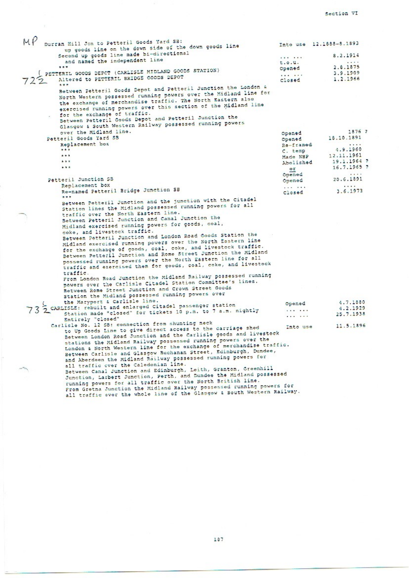Section VI

| Durran Hill Jon to Petteril Goods Yard SB:                              |               | Into use 12.1888-8.1893 |  |
|-------------------------------------------------------------------------|---------------|-------------------------|--|
| up goods line on the down side of the down goods line                   |               |                         |  |
| Second up goods line made bi-directional                                |               | 8.2.1914                |  |
| and named the independent line                                          | t.0.4.        | .                       |  |
| ***                                                                     | Opened        | 2.8.1875                |  |
| PETTERIL GOODS DEPCT (CARLISLE MIDLAND GOODS STATION)                   |               | 3.9.1909                |  |
| Altered to PETTERIL BRIDGE GOODS DEPOT                                  | Closed        | 1.2.1966                |  |
| ***                                                                     |               |                         |  |
| Between Petteril Goods Depot and Petteril Junction the London &         |               |                         |  |
| North Western possessed running powers over the Midland line for        |               |                         |  |
| the exchange of merchandise traffic. The North Eastern also             |               |                         |  |
| exercised running powers over this section of the Midland line          |               |                         |  |
| for the exchange of traffic.                                            |               |                         |  |
| Between Petteril Goods Depot and Petteril Junction the                  |               |                         |  |
| Glasgow & South Western Railway possessed running powers                |               |                         |  |
| over the Midland line.                                                  |               | 1876 7                  |  |
| Petteril Goods Yard SB                                                  | Opened        | 18.10.1891              |  |
| Replacement box                                                         | Opened        |                         |  |
| ***                                                                     | Re-framed     | 1.1.1.7<br>4.9.1960     |  |
| $* * *$                                                                 | C. temp       | 12.11.1961              |  |
| $+ 11$                                                                  | Made NBP      |                         |  |
|                                                                         | Abolished     | 19.1.1964 ?             |  |
| ***                                                                     | or            | $16.7.1965$ ?           |  |
|                                                                         | Opened        | 1.1.1                   |  |
| Petteril Junction SB                                                    | Opened        | 20.6.1891               |  |
| Replacement box                                                         | $1.11 - 1.11$ |                         |  |
| Re-named Petteril Bridge Junction SB                                    | Closed        | 3.6.1973                |  |
|                                                                         |               |                         |  |
| Between Petteril Junction and the junction with the Citadel             |               |                         |  |
| Station lines the Midland possessed running powers for all              |               |                         |  |
| traffic over the North Eastern line.                                    |               |                         |  |
| Between Petteril Junction and Canal Junction the                        |               |                         |  |
| Midland exercised running powers for goods, coal,                       |               |                         |  |
| coke, and livestock traffic.                                            |               |                         |  |
| Between Petteril Junction and London Road Goods Station the             |               |                         |  |
| Midland exercised running powers over the North Eastern line            |               |                         |  |
| for the exchange of goods, coal, coke, and livestock traffic.           |               |                         |  |
| Between Petteril Junction and Rome Street Junction the Midland          |               |                         |  |
| possessed running powers over the North Eastern line for all            |               |                         |  |
| traffic and exercised them for goods, coal, coke, and livestock         |               |                         |  |
| traffic.                                                                |               |                         |  |
| From London Road Junction the Midland Railway possessed running         |               |                         |  |
| powers over the Carlisle Citadel Station Committee's lines.             |               |                         |  |
| Between Rome Street Junction and Crown Street Goods                     |               |                         |  |
| Station the Midland possessed running powers over                       |               |                         |  |
| the Maryport & Carlisle line.                                           |               | 4.7.1880                |  |
| CARLISLE: rebuilt and enlarged Citadel passenger station                | Opened        | 4.2.1929                |  |
| Station made "closed" for tickets 10 p.m. to 7 a.m. nightly             |               | 25.7.1938               |  |
| Entirely "closed"                                                       |               |                         |  |
| Carlisle No. 12 SB: connection from shunting neck                       |               | 11.5.1896               |  |
| to Up Goods Line to give direct access to the carriage shed             | Into use      |                         |  |
| Between London Road Junction and the Carlisle goods and livestock       |               |                         |  |
| stations the Midland Railway possessed running powers over the          |               |                         |  |
| London & North Western line for the exchange of merchandise traffic.    |               |                         |  |
| Between Carlisle and Glasgow Buchanan Street, Edinburgh, Dundee,        |               |                         |  |
| and Aberdeen the Midland Railway possessed running powers for           |               |                         |  |
| all traffic over the Caledonian line.                                   |               |                         |  |
| Between Canal Junction and Edinburgh, Leith, Granton, Greenhill         |               |                         |  |
| Junction, Larbert Junction, Perth, and Dundee the Midland possessed     |               |                         |  |
| running powers for all traffic over the North British line.             |               |                         |  |
| From Gretna Junction the Midland Railway possessed running powers for   |               |                         |  |
| all traffic ever the whole line of the Glasgow & South Western Railway. |               |                         |  |
|                                                                         |               |                         |  |

187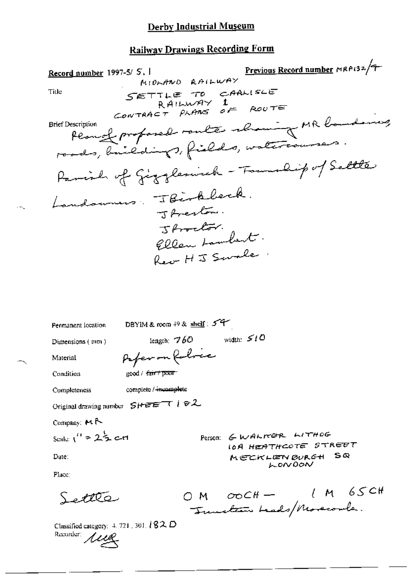## **Railway Drawings Recording Form**

Previous Record number MRP132/7 Record number 1997-5/ S.I MIDLAND RAILWAY SETTLE TO CARLISLE<br>RAILWAY 1<br>CONTRACT PLANS OF ROUTE Title Plannel profosed route showing MR boundaries, **Brief Description** roads, bailedings, fields, watercourses. Parish of Gigglerinch - Township of Selle Landonners : JBirkbeck. J Averton. J Proclar. Ellen Lambert. Reo HIS Swale DBYIM & room  $+9$  & shelf:  $5^{\circ}$ Permanent location length:  $760$  width:  $510$ Dimensions (mm) Paper on Robrice Material Condition good / fair / poor complete / memandete Completeness Original drawing number SHEET 182

Company:  $M \rightarrow$ 

$$
5\text{calc}^{-11} = 2.5 \text{ cm}
$$

Date:

Person: GWALKER LITHOG IOA HEATHCOTE STREET  $S$ MECKLEN BURGH LONDON

Place:

Settle

 $1M65C$ OM OOCH - 1 M 65

Classified category:  $4.721$ ,  $301$ ,  $\sqrt[3]{82}$ ,  $D$ Recorder: 1119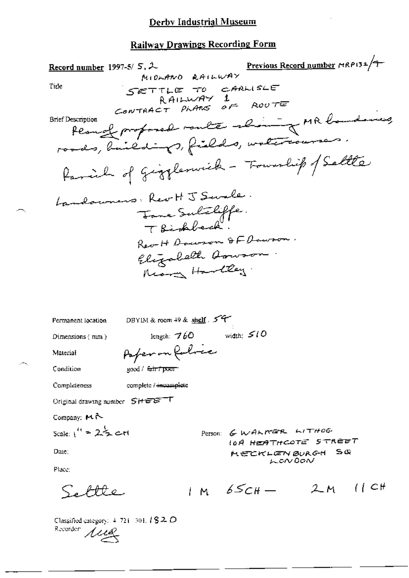| Record number 1997-5/ $5, 2$                                        |                                             | MIDLAND RAILWAY               | Previous Record number MRP132/9                |    |                 |
|---------------------------------------------------------------------|---------------------------------------------|-------------------------------|------------------------------------------------|----|-----------------|
| Title                                                               | SETTLE TO CARLISLE                          |                               |                                                |    |                 |
|                                                                     |                                             | RAILWAY 1                     |                                                |    |                 |
| Brief Description                                                   | CONTRACT PLANS OF ROUTE                     |                               |                                                |    |                 |
|                                                                     | Peanof proposed route shaing MR boundaries, |                               |                                                |    |                 |
|                                                                     | roads, buildings, fields, watercourses.     |                               |                                                |    |                 |
|                                                                     | Parcial of Gigglerwick - Township of Saltle |                               |                                                |    |                 |
|                                                                     | andowners, Rev H J Swale.                   |                               |                                                |    |                 |
|                                                                     |                                             |                               |                                                |    |                 |
|                                                                     |                                             | Tome Sulaliffe.<br>Thishbeck. |                                                |    |                 |
|                                                                     |                                             |                               | Rev-H Documen & F Documen.                     |    |                 |
|                                                                     |                                             | Elizabeth Arwson.             |                                                |    |                 |
|                                                                     |                                             | Mora Hartley.                 |                                                |    |                 |
|                                                                     |                                             |                               |                                                |    |                 |
|                                                                     |                                             |                               |                                                |    |                 |
| Permanent location                                                  | DBYIM & room 49 & shelf. 54                 |                               |                                                |    |                 |
| Dimensions $($ nm $)$                                               | length: $760$                               |                               | width: $510$                                   |    |                 |
| Material                                                            | Paper on Rubric                             |                               |                                                |    |                 |
| Condition                                                           | good / <del>fair</del> from                 |                               |                                                |    |                 |
| Completeness                                                        | complete / incomplete                       |                               |                                                |    |                 |
| Original drawing number SHEET                                       |                                             |                               |                                                |    |                 |
| Company: MA                                                         |                                             |                               |                                                |    |                 |
| Scale: $1'' = 2\frac{1}{2}$ c-rt                                    |                                             |                               | Person: GWALKER WITHOG<br>IOA HEATHCOTE STREET |    |                 |
| Date:                                                               |                                             |                               | MECKLEN BURGH                                  | SŒ |                 |
| Place:                                                              |                                             |                               | LONDON                                         |    |                 |
|                                                                     |                                             | $1 M 65CH -$                  |                                                |    | $2M$ $(1)$ $CH$ |
| Classified category: $4.721 - 301$ , $182D$<br>Recorder <i>Alle</i> |                                             |                               |                                                |    |                 |

 $. -$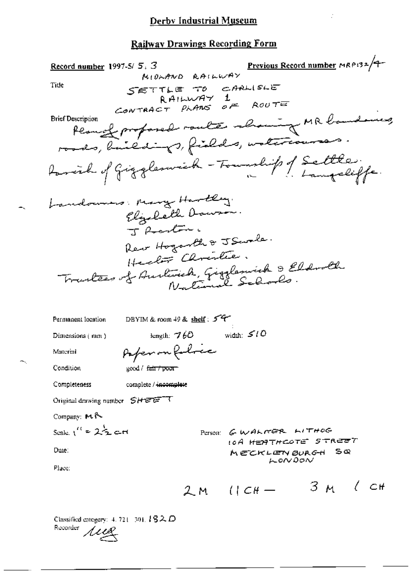Previous Record number MRP132/9-Record number 1997-5/5.3 MIDLAND RAILWAY SETTLE TO CARLISLE<br>RAILWAY 1<br>CONTRACT PLANS OF ROUTE Title Permode proposed route alrowing MR bandones, **Brief Description** roods, buildings, fields, untercourses. foraich of Gigglenvick - Township of Settle: Landownes: Mary Hartley. Elizabeth Downon. J Rentin. Rew Hogarth & J Swale. Health Christie. Tractées of Audioide, Giggleswick & Eldroll DBYIM & room 49 & shelf:  $54$ Permanent location width:  $510$ length:  $760$ Dimensions (mm) Paper on folice Material Condition good / fair / poor complete / incomplete Completeness Original drawing number SHEETT Company: MR Scale:  $1^{\prime\prime}$  =  $2\frac{1}{2}$  cm PETSON: GWALKER LITHOG 10А <del>ИЕЯТНСОТЕ</del> STR<del>EE</del>T Date: MECKLENBURGH SQ LONDON Place:  $3M$   $4H$  $2M$   $(1)$   $CH-$ 

Classified category:  $4.721 \pm 301.182. D$ Recorder rug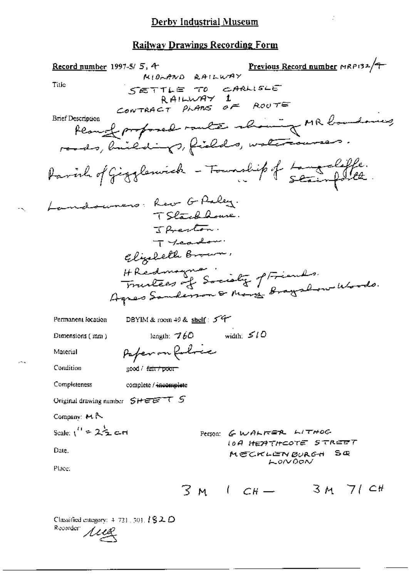Previous Record number MRP132/9 Record number 1997-5/5, 4 DIA<br>MIDAAND RAILWAY Title SETTLE TO CARLISLE RAILWAY 1<br>CONTRACT PLANS OF ROUTE teamof proposed route showing MR boundaries, **Brief Description** reads, buildings, fields, watercourses. Parish of Gigglewick - Township of Langualoffe. Landsumers: Rev G Paley. TSlackhouse. Javenton. Tycanow Elizabeth Brown, H Redmana :<br>Fruitees of Society of Fiends.<br>Agres Sanderson & Mary Braysbow Woods. DBYIM & room 49 & shelf: 54 Permanent location length:  $760$  width:  $510$ Dimensions (mm) Peper on Robrice Material Condition good / fair/poor-Completeness complete / incomplete Original drawing number SHEET 5 Company:  $M \uparrow$ Scale:  $1'' = 2\frac{1}{2}$  c-H Person: GWALKER LITHOG **10A HEATHCOTE STREET** Date. MECKLENBURGH SQ LONDON Place:  $3M + CH - 3M$  7/ CH

Classified category:  $4, 731, 501, 182, 0$ Recorder *Alle*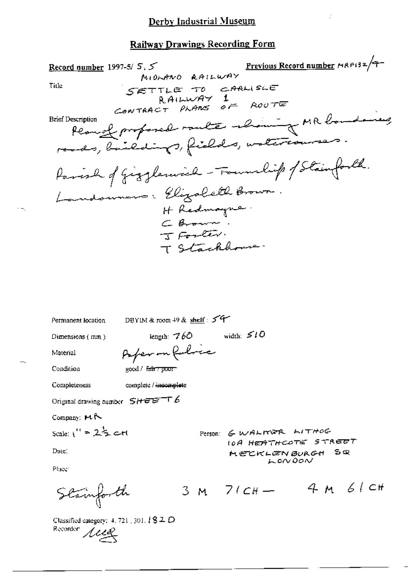Previous Record number MRP132/9-Record number 1997-5/ $5.5$ MIDLAND RAILWAY Title SETTLE TO CARLISLE RAILWAY 1<br>CONTRACT PLANS OF ROUTE Peanof proforced raulte about of MR boundaring **Brief Description** roods, buildings, fields, untercourses. Parish of Gigglemich - Fournlip of Stainforth. Landowners: Elizabeth Brown. H Redmayne. C Brown. T Stackhouse. DBYIM & room 49 & shelf: 54 Permanent location length:  $760$  width:  $510$ Dimensions (mm) Paper on followe Material Condition good / fair poor Completeness complete / incomplete Original drawing number  $S$ HEET6 Company:  $H \sim$ Scale:  $1'' = 2\frac{1}{2}$  c-rt Person: GWALTER LITHOG **10A HEATHCOTE STREET** Date: Sœ MECKLEN BURGH  $\sim$  DNDON Place 3 M  $7/CH -$  4 M 6/CH Stainforth

Classified category:  $4, 721, 301, 182D$ Recorder *LUG*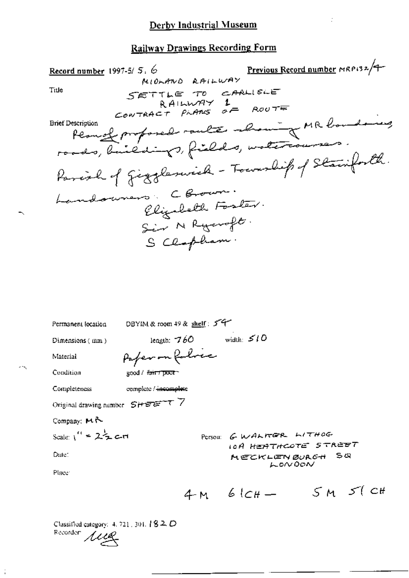### **Railway Drawings Recording Form**

Previous Record number MRP132/9 5.6<br>MIOLAND RAILWAY Record number 1997-5/5. 6 SETTLE TO CARLISLE<br>RAILWAY 1<br>CONTRACT PLANS OF ROUTE Title fermed proposed route about MR boundaring **Brief Description** Parcial of Giogleswick - Township of Stainforth. Landowners Coronar. Elizabeth Foster. Sir N Ryanoft. S Clopham.

Permanent location DBYIM & room 49 & shelf : 5 4 length:  $760$  width:  $510$ Dimensions (mm) Paper on followe Material Condition good / fair / poor Completeness complete / incomplete Original drawing number  $S H E E T T$ Company: MR Scale:  $1'' = 2\frac{1}{2}$  cm POTSOU: GWALTER LITHOG IOA HEATHCOTE STREET Date: MECKLENBURGH SQ  $LONOON$ Place:  $4M 6lCH - 5M 5l CH$ 

Classified category:  $4, 721, 301, 182, D$ Recorder *ALLE*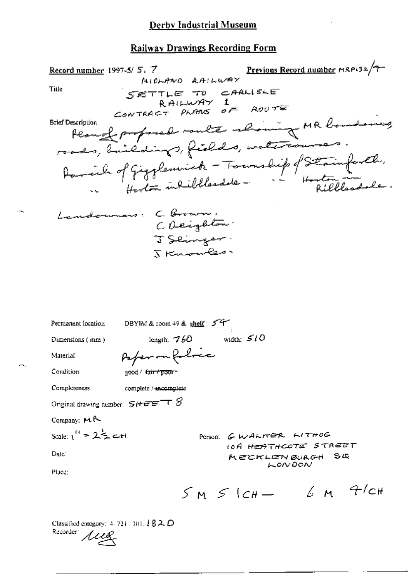#### **Railway Drawings Recording Form**

Previous Record number MRA132/7-5.7<br>MIOLAND RAILWAY Record number  $1997-5/5$ , 7 SETTLE TO CARLISLE<br>RAILWAY 1<br>CONTRACT PLANS OF ROUTE Title respection femme proformale monte medicine MR boundaries **Brief Description** Innelocomers: CBrown, CORighton. J Seinger. TKusukes Permanent location DBYIM & room 49 & shelf: 54 length:  $760$  width:  $510$ Dimensions (mm) Paper on follow Material Condition good / fair / pour -Completeness complete / incomplete Original drawing number  $S$ HEET  $S$ Company: MR Scale:  $1''$  =  $2\frac{1}{2}$  c.H Person: GWALTER LITHOG **IOA HEATHCOTE STREET** Date: MECKLENBURGH SQ LONDON Place:  $5M51cH - 6M4cH$ 

Classified category: 4, 721, 301, 182, D Recorder *Alle*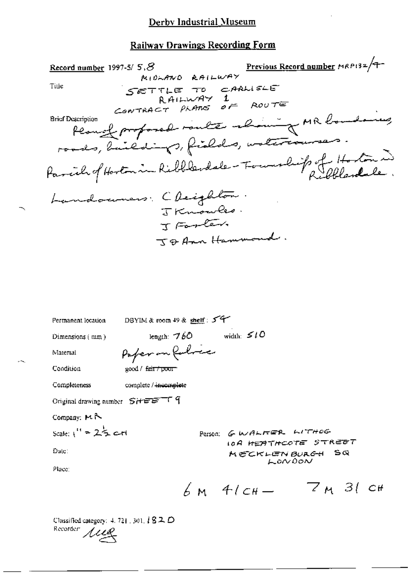# **Railway Drawings Recording Form**

| Previous Record number MRP132/T<br>Record number 1997-5/ $5,8$                     |  |
|------------------------------------------------------------------------------------|--|
| MIOLAND RAILWAY<br>Ti⊔e                                                            |  |
| SETTLE TO CARLISLE<br>RAILWAY 1                                                    |  |
| CONTRACT PLANS $oF$ ROUTE                                                          |  |
| <b>Brief Description</b>                                                           |  |
| Peacefortand route change MR boundaring                                            |  |
| roads, buildings, fields, untercourses.                                            |  |
| Parcile of Hostonia Ribblesdale - Fournalist of Hostonia                           |  |
| Landouners: Cleighton.                                                             |  |
| J Knowles.                                                                         |  |
| J Forter.                                                                          |  |
| J & Ann Hammond.                                                                   |  |
|                                                                                    |  |
|                                                                                    |  |
|                                                                                    |  |
|                                                                                    |  |
|                                                                                    |  |
| DBYIM & room 49 & shelf : $54$<br>Permanent location                               |  |
| width: $510$<br>length: $760$<br>Dimensions (mm)                                   |  |
| Paper on follow<br>Material                                                        |  |
| Condition<br>good / fair / poor                                                    |  |
| Completeness<br>complete / incomplete                                              |  |
| Original drawing number SHEET 9                                                    |  |
| Company: $M \sim$                                                                  |  |
| scale: $1'' = 2\frac{1}{2}$ c-rl<br>Person: GWALTER WITHOG<br>10A HEATHCOTE STREET |  |
| Date:<br>MECKLENBURGH SQ                                                           |  |
| LONDON<br>Place:                                                                   |  |
| $7M$ 31 cH<br>$6M$ 4/ $CH-$                                                        |  |

Classified category: 4, 721 , 301,  $\sqrt{l}$  **S** 2,  $D$ Recorder Aug

 $\sim$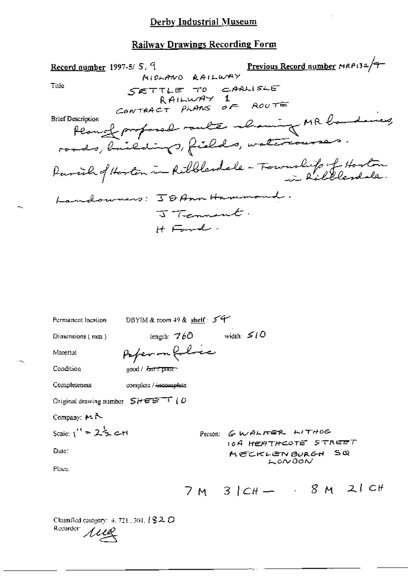## **Railway Drawings Recording Form**

| Previous Record number MRP132/9<br>Record number 1997-5/5, 9<br>MIOLAND RAILWAY<br>Title<br>SETTLE TO CARLISLE<br>RAILWAY 1<br>CONTRACT PLANS OF ROUTE<br><b>Brief Description</b><br>Planch profosod route about of MR banding<br>roads, buildings, fields, watercourses.<br>Parcile of Horton in Ribblesdale - Township of Hoston |
|-------------------------------------------------------------------------------------------------------------------------------------------------------------------------------------------------------------------------------------------------------------------------------------------------------------------------------------|
| owners: JOAnn Hammond.<br>J Tennent.                                                                                                                                                                                                                                                                                                |
| H Ford -                                                                                                                                                                                                                                                                                                                            |
|                                                                                                                                                                                                                                                                                                                                     |
|                                                                                                                                                                                                                                                                                                                                     |
| DBYIM & room 49 & shelf: $5^{\circ}$<br>Permanent location                                                                                                                                                                                                                                                                          |
| width: $510$<br>length: $760$<br>Dimensions (mm)                                                                                                                                                                                                                                                                                    |
| Paper on forlice<br>Material                                                                                                                                                                                                                                                                                                        |
| Condition<br>good / fair / pixir-                                                                                                                                                                                                                                                                                                   |
| Completeness<br>complete / incomplete                                                                                                                                                                                                                                                                                               |
| Original drawing number $SHEE^{-\top}$ (O                                                                                                                                                                                                                                                                                           |
| Company: $H \sim$                                                                                                                                                                                                                                                                                                                   |
| $0 - 2$                                                                                                                                                                                                                                                                                                                             |

Scale:  $V = 2.5$  c-H

Date:

 $\cdot$   $\sim$ 

Person: GWALKER LITHOG **IOA HEATHCOTE STREET**  $S\propto$ MECKLEN BURGH LONDON

Place.

$$
7M \quad 3/CH
$$
 - 8 M 2ICH

Classified category: 4, 721, 301, 182 D Recorder *ALLE*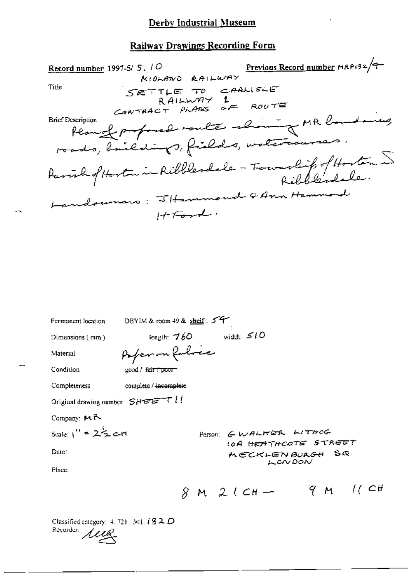# **Railway Drawings Recording Form**

| Record number 1997-5/ $5.10$                                              | Previous Record number MRP132/9 |
|---------------------------------------------------------------------------|---------------------------------|
| MIDLAND RAILWAY<br>Ti⊔e<br>$SETTE T0 CAAUSE$<br>RAILWAY 1                 |                                 |
| CONTRACT PLANS OF ROUTE                                                   |                                 |
| Planger por posed route aliming MR boundaring<br><b>Brief Description</b> |                                 |
| roads, bailedings, fields, watercourses.                                  |                                 |
| Parish of Hoston in Ribblesdole - Fourabile of Hoston 5                   |                                 |
| Landouners; 5Hammond QAnn Hammond                                         |                                 |
| $1+7$                                                                     |                                 |

| Permanent location                        | DBYIM & room 49 & shelf: $577$                    |
|-------------------------------------------|---------------------------------------------------|
| Dimensions $(mn)$                         | width: $510$<br>length: $760$                     |
| Material                                  | Paperon folice                                    |
| Condition                                 | good / f <del>air / poor -</del>                  |
| Completeness                              | complete / <del>incomplet</del> e                 |
| Original drawing number $S H E E^{-\tau}$ |                                                   |
| Company: $M \uparrow$                     |                                                   |
| Scale: $1'' = 2\frac{1}{2}$ c-ri          | Person: GWALKER LITHOG                            |
| Date:                                     | 10A HEATHCOTE STREET<br>MECKLENBURGH SQ<br>LONDON |
| Place:                                    |                                                   |
|                                           | 9M/(CH<br>$M 2(CH -$                              |

Classified category: 4. 721, 301,  $182D$ <br>Recorder:  $\mu_{\mathcal{L}}$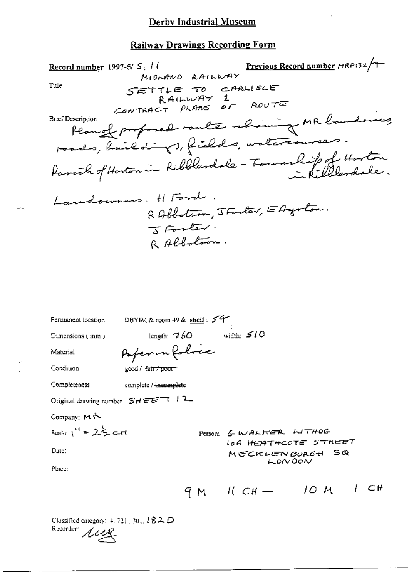# **Railway Drawings Recording Form**

| Record number 1997-5/ S, <i>II</i><br>MIDLAND RAILWAY<br>Title<br>SETTLE TO CARLISLE<br>RAILWAY 1<br>CONTRACT PLANS OF ROUTE<br><b>Brief Description</b><br>Plange profosed route abount MR boundaries<br>roads, baildings, fields, watercourses.<br>Parent of Hoston in Ribblandale - Township of Hoston | <b>Previous Record number HRPI32/9</b><br>I Kilblandsle. |
|-----------------------------------------------------------------------------------------------------------------------------------------------------------------------------------------------------------------------------------------------------------------------------------------------------------|----------------------------------------------------------|
| andowners; H Ford<br>RAbbotron, JForter, EAgraton.<br>I Forter.<br>RAbbotron.                                                                                                                                                                                                                             |                                                          |
| DBYIM & room 49 & shelf: 54<br>Permanent location                                                                                                                                                                                                                                                         |                                                          |
| width: $510$<br>length: $760$<br>Dimensions (mm)                                                                                                                                                                                                                                                          |                                                          |
| Paper on Robrec<br>Material                                                                                                                                                                                                                                                                               |                                                          |
| Condition<br>good / <del>fair / poor -</del>                                                                                                                                                                                                                                                              |                                                          |
| Completeness<br>complete / incomplete                                                                                                                                                                                                                                                                     |                                                          |
| Original drawing number $SHEET$ (2                                                                                                                                                                                                                                                                        |                                                          |
| Company: MA                                                                                                                                                                                                                                                                                               |                                                          |
| Seate: $1'' = 2\frac{1}{2}$ c-rt                                                                                                                                                                                                                                                                          | Person: GWALTER LITHOG                                   |
| Date:                                                                                                                                                                                                                                                                                                     | 10A HEATHCOTE STREET<br>MECKLENBURGH SQ                  |
| Place:                                                                                                                                                                                                                                                                                                    | LONDON                                                   |
| 9 M                                                                                                                                                                                                                                                                                                       | - CH<br>10 M I<br>$11 \text{ } CH \rightarrow$           |

Classified category: 4, 711 , 301,  $l$   $\mathbf{8}$   $\mathbf{2},$   $\mathbf{D}$ Recorder Aug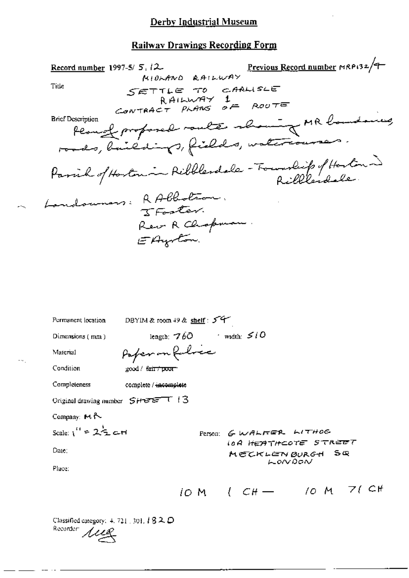#### **Railway Drawings Recording Form**

 $\mu$ . 12<br>MIORANO RAILWAY Record number 1997-5/  $5.12$ SETTLE TO CARLISLE<br>RAILWAY 1<br>CONTRACT PLANS OF ROUTE Title Peacef proposed route showing MR boundaries, Brief Description roads, buildings, fields, watercourses. Parish of Hoston in Ribblesdale - Foundity of Hoston Landouners: RAbbotson. Rew R Chopman. EAyoton. DBYIM & room 49 & shelf: 54 Permanent location length;  $760$  width:  $510$ Dimensions (mm) Paperon folice Material Condition  $good / *fair*$  poor Completeness complete / incomplete Original drawing number  $SHEE$ <sup>T</sup> 13 Company: MA Scale:  $1'' = 2\frac{1}{2}$  at Person: GWALFER LITHOG **IOA HEATHCOTE STREET** Date: MECKLEN BURGH Sœ LONDON Place: IOM  $(CH - 10M)$  7(CH Classified category:  $4.721$  , 301,  $1820$ 

Recorder 1114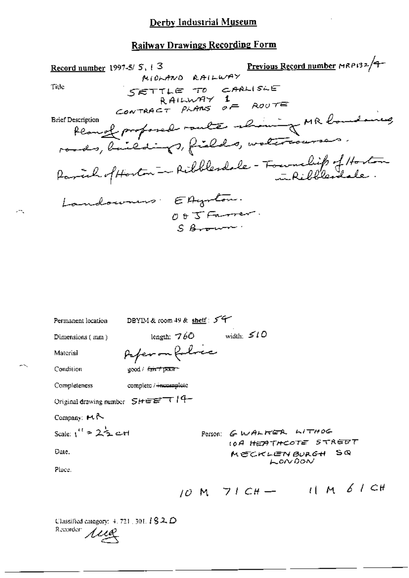Previous Record number MRP132/9-Record number 1997-5/ $5, 13$ MIOLAND RAILWAY Title SETTLE TO CARLISLE  $U \sim 10^{10}$  CHALISLE<br>CONTRACT PLANS OF ROUTE fear of proposed raule shaing MR boundaring **Brief Description** Parcial of Hoston - Ribblesdale - Township of Hoston Landowners EAgenton.  $005$ Farrer.  $S$  Brown. DBYIM & room 49 & shelf: 54 Permanent location width:  $510$ length:  $760$ Dimensions (mm) Paper on folice Material Condition  $good / ~~fair / pxx~~$ 

complete / + neomplete Completeness

Original drawing number  $5$  +  $\epsilon$  =  $\epsilon$  +  $(4 -$ 

Company:  $H \sim$ 

$$
Scale: 1'' = 22 \pm cH
$$

Date.

Person: GWALTER WITHOG **10A HEATHCOTE STREET**  $S$   $\infty$ MECKLEN BURGH LONDON

Place.

$$
10 M 71 CH \rightarrow 11 M 61 CH
$$

 $\mathbf{r}$  and  $\mathbf{r}$ 

Classified category:  $4.721$ , 301,  $182D$ Recorder:  $\mu$ ez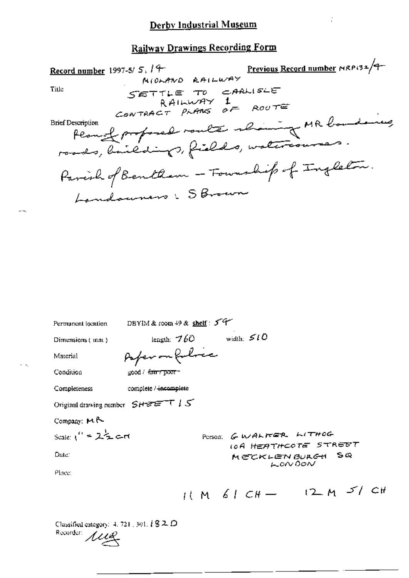$\ddot{\phi}$ 

# **Railway Drawings Recording Form**

| Previous Record number MRP132/9-<br>Record number 1997-5/ $5,14$<br>MIDLAND RAILWAY<br>Title<br>SETTLE TO CARLISLE<br>RAILWAY 1<br>CONTRACT PLANS OF ROUTE<br>Planet proposed route alimination MR boundaries<br><b>Brief Description</b><br>Parish of Bentlem - Fourship of Ingleton. |
|----------------------------------------------------------------------------------------------------------------------------------------------------------------------------------------------------------------------------------------------------------------------------------------|
| Landouners : S Brown                                                                                                                                                                                                                                                                   |
| DBYIM & room 49 & shelf: 54<br>Permanent location<br>width: $510$<br>length: $760$<br>Dimensions (mm)<br>Paper on folice<br>Material                                                                                                                                                   |
| Condition<br>good / f <del>air / poor -</del><br>complete / incomplete<br>Completeness<br>Original drawing number $S H E E^{-T} U S$                                                                                                                                                   |
| Company: MR<br>Scale: $1'' = 2\frac{1}{2}$ art<br>PORSON GWALKER WITHOG<br><b>IOA HEATHCOTE STREET</b><br>Date:<br>MECKLENBURGH SQ<br>LONDON                                                                                                                                           |

Classified category: 4, 721, 301,  $\sqrt{l}$  **3** 2,  $D$ Recorder *LUB* 

 $\sim$   $\sim$ 

 $\sim$   $\sim$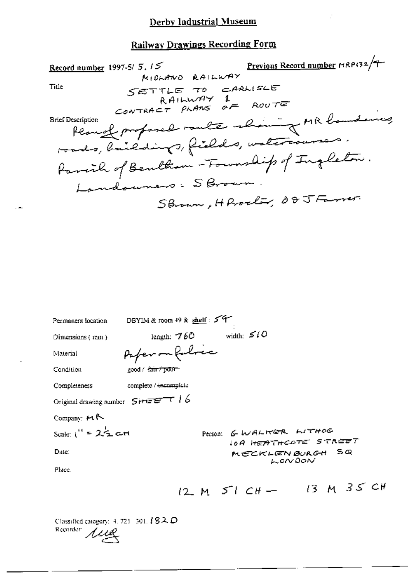ż

# Railway Drawings Recording Form

|                                                                                    | <b>Previous Record number HRPI32/4</b> |
|------------------------------------------------------------------------------------|----------------------------------------|
| Record number 1997-5/ $5.15$<br>MIDLAND RAILWAY                                    |                                        |
| Title<br>SETTLE TO CARLISLE<br>CONTRACT PLANS $\overline{AF}$ ROUTE                |                                        |
| Plange profond route about of MR boundaries<br><b>Brief Description</b>            |                                        |
| roads, baildings, fields, watercourses.<br>Parcil of Bentham-Fourship of Ingleton. |                                        |
| Landourers : SBrown.                                                               |                                        |
| Shown, HProcley 08JFamer                                                           |                                        |
|                                                                                    |                                        |

| Permanent location                     | DBYIM & room 49 & shelf: 54                       |
|----------------------------------------|---------------------------------------------------|
| Dimensions (mm)                        | width: $510$<br>length: $760$                     |
| Material                               | Paper on Robrice                                  |
| Condition                              | good / <del>fair / poor -</del>                   |
| Completeness                           | complete / incomplete                             |
| Original drawing number $5 + \sqrt{5}$ |                                                   |
| Company: H R                           |                                                   |
| Scale: $i' = 2\frac{1}{2}$ cH          | Person: GWALTER LITHOG                            |
| Date:                                  | 10A HEATHCOTE STREET<br>MECKLENBURGH SQ<br>LONDON |
| Place.                                 |                                                   |
|                                        | 12 M $51$ CH - 13 M 35 CH                         |

Classified category: 4, 721–501,  $l$  **S** $\lambda$   $D$ Recorder *Live*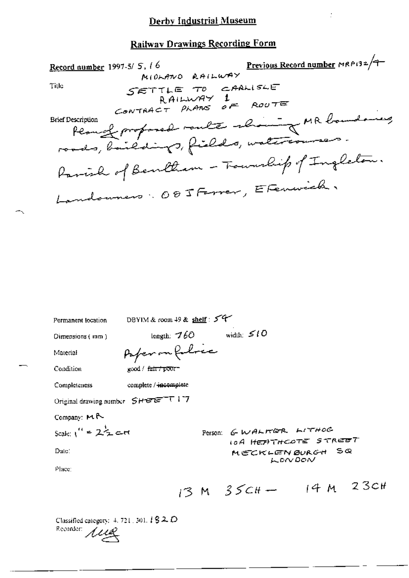ċ

## Railway Drawings Recording Form

| 10<br>MIOLANO RAILWAY<br>MIOLANO RAILWAY<br>Record number 1997-5/5, 16<br>Title<br>SETTLE TO CARLISLE<br>RAILWAY 1<br>CONTRACT PLANS OF ROUTE<br>Peanol proposed route showing MR boundaring<br><b>Brief Description</b> |
|--------------------------------------------------------------------------------------------------------------------------------------------------------------------------------------------------------------------------|
| roads, baildings, fields, waltriouses.<br>Parish of Bentlem - Township of Ingleton.                                                                                                                                      |
| Landonners: 085 Ferrer, EFenwick,                                                                                                                                                                                        |
|                                                                                                                                                                                                                          |
| DBYIM & room 49 & shelf : $54$<br>Permanent location                                                                                                                                                                     |
| width: $510$<br>length: $760$<br>Dimensions (inm.)                                                                                                                                                                       |
| Paper on foloce<br>Material                                                                                                                                                                                              |

good / f<del>air / poor -</del>

Completeness complete / incomplete

Original drawing number SHEETT17

Company: MR

Condition

Scale: 
$$
\iota'' = 2\frac{1}{2}c
$$

Date:

Person: GWALKER LITHOG **10A HEATHCOTE STREET** MECKLENBURGH SQ LONDON

Place:

$$
13 M \quad 35CH - 14 M \quad 23CH
$$

Classified category:  $4, 721, 301, 182, D$ Recorder 1119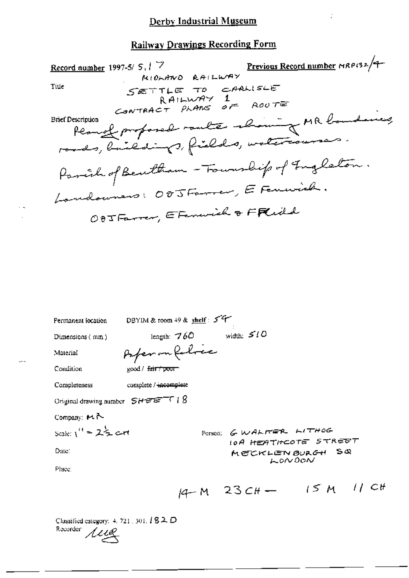11 C<br>MIOLANO RAILWAY Previous Record number MRP132/9-Record number 1997-5/ 5, 17 SETTLE TO CARLISLE Title CONTRACT PLANS OF ROUTE Peacef proposed route about of MR banding **Brief Description** rands, linedings, fields, watercourses. Parcil of Beutham - Fourwhip of Ingleton. Landoumers: 005 Farrer, E Feminish. OBJ Farrer, E Fenerick & FRidd

| Permanent location                   | DBYIM & room 49 & shelf: 54                                      |
|--------------------------------------|------------------------------------------------------------------|
| Dimensions (mm)                      | width: $510$<br>length: $760$                                    |
| Material                             | Paper on folloca                                                 |
| Condition                            | $\gcd / \frac{f_{\text{diff}} + \text{power}}{f}$                |
| Completeness                         | complete / incomplete                                            |
| Original drawing number $SHETET$   8 |                                                                  |
| Company: $M \rightarrow$             |                                                                  |
| Scale: $1'' = 2\frac{1}{2}$ c-rt     | Person: GWALTER LITHOG                                           |
| Date:                                | IOA HEATHCOTE STREET<br>MECKLENBURGH SQ<br>LONDON                |
| Place:                               |                                                                  |
|                                      | $15M$ $11$ $C$ <sup><math>\mu</math></sup><br>$14 - M$ 23 $CH -$ |

Classified category:  $4.721.301.$  **S2.**  $D$ Recorder *Aug*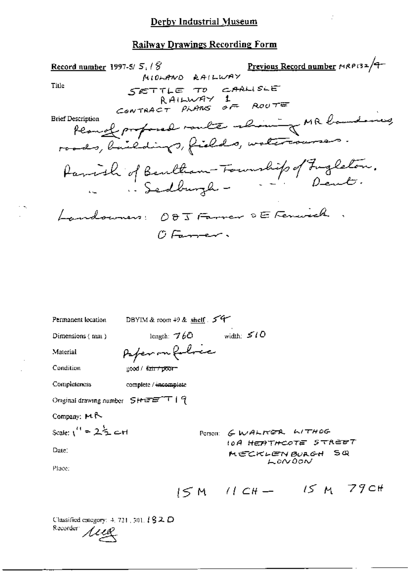÷.

### **Railway Drawings Recording Form**

| Record number 1997-5/ $5.7\%$ | 5.18<br>MIDHAND RAILWAY                | Previous Record number MRP132/9-         |
|-------------------------------|----------------------------------------|------------------------------------------|
|                               |                                        |                                          |
| Title                         | SETTLE TO CARLISLE                     |                                          |
|                               | RAILWAY 1<br>CONTRACT PLANS OF ROUTE   |                                          |
| <b>Brief Description</b>      |                                        |                                          |
|                               |                                        | Peanol proposed route about MR bandones, |
|                               | roads, buildings, fields, watercourses |                                          |
|                               |                                        | Parish of Bentham-Foundip of Fugleton.   |
|                               | Sedburgh -                             |                                          |
|                               | Landowners: 005 Farrer DE Fenwick      |                                          |
|                               | O Famer.                               |                                          |
|                               |                                        |                                          |
|                               |                                        |                                          |
|                               |                                        |                                          |
|                               |                                        |                                          |
|                               |                                        |                                          |
| Permanent location            | DBYIM & room $+9$ & shelf $5^4$        |                                          |
| Dimensions (nun)              | length: $\mathcal{A}$ b $\mathcal{O}$  | width: $510$                             |
| Material                      | Paper on followe                       |                                          |
| Condition                     | good / <del>fair / poor -</del>        |                                          |
| Completeness                  | complete / incomplete                  |                                          |

Original drawing number SHEETT | 9

Company: MR

$$
Scale: \binom{11}{1} = 2\frac{1}{2} + 1
$$

Date:

 $\cdot$   $\sim$ 

POTSON: GWALKER WITHOG **IOA HEATHCOTE STREET** \$ تھ MECKLEN BURGH LONDON

Place:

 $15M$   $11CH - 15M$  79cH

Classified category: 4, 721, 501, 182 D Recorder *Alle*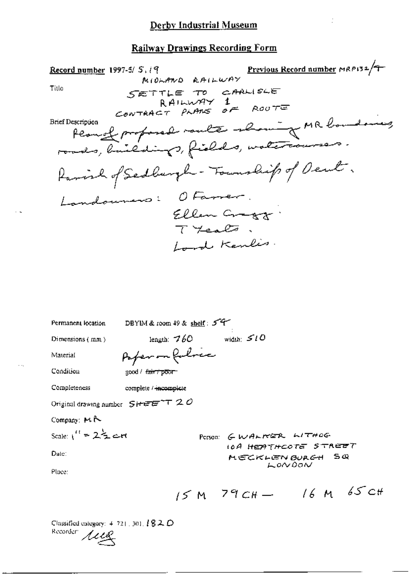#### **Railway Drawings Recording Form**

Previous Record number MRP132/7 Record number 1997-5/ $S, i$  9 MIOLAND RAILWAY SETTLE TO CARLISLE<br>RAILWAY 1<br>CONTRACT PLANS OF ROUTE Title Peanol proposed route showing MR boundaries, **Brief Description** roads, buildings, fields, watercourses. Parish of Sedburgh - Township of Deut. Landouners: OFarrer. Ellen Cragg -<br>TYcalo. Lord Kenlis. Permanent location DBYIM & room 49 & shelf:  $5^{\circ}$ 

Dimensions (mm)

length:  $760$  width:  $510$ Poper on follow

Condition

Material

good / fair / poor

Completeness complete / incomplete

Original drawing number  $S$ HEE<sup>-+</sup>T 20

Company: MR

Scale:  $\mathfrak{t}''$  =  $2\frac{\lambda_1}{2}$  and

Date:

PETSON: GWALTER LITHOG **IOA HEATHCOTE STREET** SΦ MECKLENBURGH LONDON

Place:

$$
15 M
$$
 79CH - 16 M 65 CH

Classified category:  $4.721$ , 301,  $1820$ Recorder *ALLE*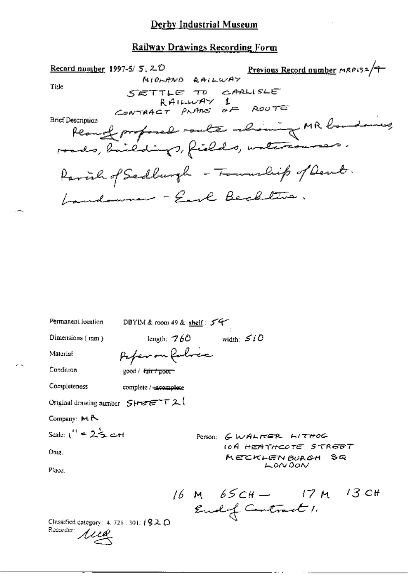### Railway Drawings Recording Form

| 5, 20<br>MIOLANO RAILWAY Previous Record number MRP132/9<br>Record number 1997-5/ $5,20$<br>Tide<br>SETTLE TO CARLISLE<br>CONTRACT PLANS $oF$ ROUTE |
|-----------------------------------------------------------------------------------------------------------------------------------------------------|
| <b>Brief Description</b><br>Peanof proposed route showing MR boundaries                                                                             |
| Parcial of Sadburgh - Township of Dent.                                                                                                             |
| Landouner - Earl Beckline.                                                                                                                          |
|                                                                                                                                                     |
| Permanent location<br>DBYIM & room 49 & shelf: 54                                                                                                   |
| length; $760$ width: $510$<br>Dimensions (mm)                                                                                                       |
| Paper on followe<br>Material                                                                                                                        |
| Condition<br>good / <del>fair / poor -</del>                                                                                                        |
| Completeness<br>complete / incomplete                                                                                                               |
| Original drawing number $S$ H $E E^+ T 2$                                                                                                           |

Company: MR

$$
Scale: \iota^{(i)} = 2\frac{1}{2} \text{ and}
$$

Date;

Place:

Person: GWALKER LITHOG **IOA HEATHCOTE STREBT** MECKLENBURGH SQ LONDON

16 M  $65CH - 17 M$  13 CH<br>Endof Centrant 1.

 $\cdots$ 

Classified category: 4, 721, 301, 182 D Recorder 1110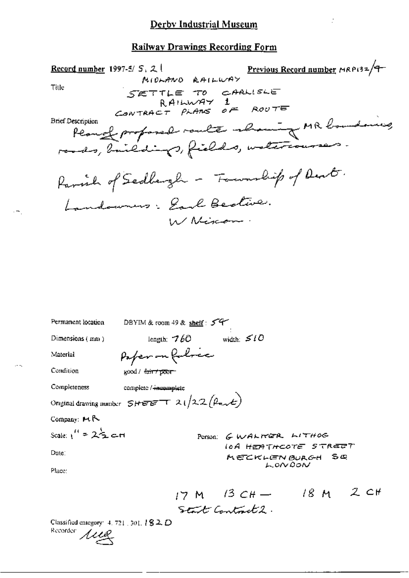ŀ.

#### **Railway Drawings Recording Form**

Previous Record number MRP132/9 Record number 1997-5/ $S, Z$ MOLANO RAILWAY SETTLE TO CARLISLE<br>RAILWAY 1<br>CONTRACT PLANS OF ROUTE Title Plangt proposed route showing MR boundaries, **Brief Description** Parish of Sedbergh - Fournalip of Dent. Landowners: Earl Bedlive. W Nincom.

Permanent location DBYIM & room 49 & shelf: 54 length:  $760$  width:  $510$ Dimensions (mm) Paper on fulric Material Condition good / fair + poor complete / incomplete Completeness Onginal drawing number  $SHEET + 21/22(\beta_{ext})$ Company: MR Scale:  $1'' = 2\frac{1}{2}$  c-ri Person: GWALKER LITHOG **IOA HEATHCOTE STREET** Date: MECKLENBURGH Sœ LONDON Place: 17 M  $13CH - 18 M 2CH$ Start Control2.

Classified entegory: 4, 721, 301, 182D Recorder Lieg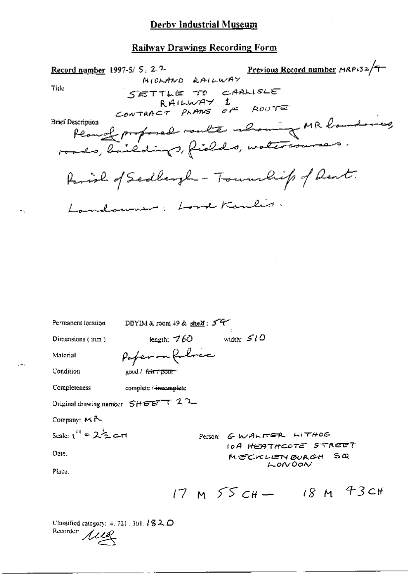### **Railway Drawings Recording Form**

5, 22<br>MIOLANO RAILWAY<br>WIOLANO RAILWAY Record number 1997-5/5,  $2^2$ SETTLE TO CARLISLE<br>RAILWAY 1<br>CONTRACT PLANS OF ROUTE Title ravanques proposal vante about MR banding **Brief Description** Parish of Scollargh - Township of Dent. Landowner: Lord Kenlis Permanent Iccation DBYIM & room 49 & shelf: 54 length:  $760$  width:  $510$ Dimensions (mm) Poper on follower Material Condition good/<del>fair/pour</del> Completeness complete / incomplete Original drawing number SiteBTT 22 Company: MR Scale:  $1'' = 2\frac{1}{2}$  art Person: GWALTER LITHOG **IOA HEATHCOTE STREET** Date: MECKLENBURGH SQ LONDON Place.  $17 M$   $55c_{H} - 18 M$  43cH

Classified category:  $4.721$  , 301,  $192$ Recorder<sup>1</sup>  $\mu$ uz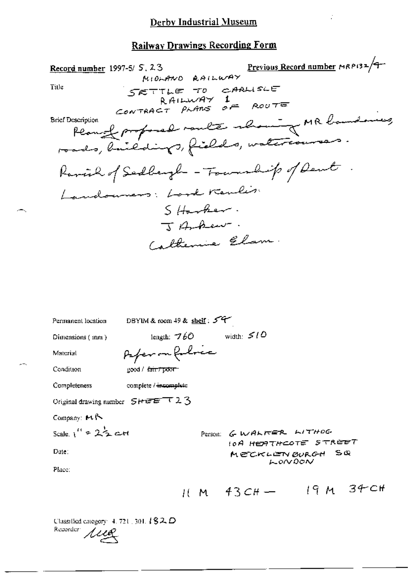Ź,

## **Railway Drawings Recording Form**

| Previous Record number MRP132/9<br>Record number 1997-5/ 5, 23<br>1.23<br>MIDLAND RAILWAY<br>Title<br>SETTLE TO CARLISLE<br>RAILWAY 1<br>CONTRACT PLANS OF ROUTE |
|------------------------------------------------------------------------------------------------------------------------------------------------------------------|
| Peanof proposed raule alaning MR bandary<br><b>Brief Description</b><br>roads, buildings, fields, watercourses.                                                  |
| Ramich of Sedbergh - Township of Dent                                                                                                                            |
| Landouners: Lord Kenlis                                                                                                                                          |
| $S$ Harber.                                                                                                                                                      |
| J Anhew                                                                                                                                                          |
| Catherine Elam.                                                                                                                                                  |
|                                                                                                                                                                  |
|                                                                                                                                                                  |
| DBYIM & room 49 & shelf: $54$<br>Permanent location                                                                                                              |
| width: $510$<br>length: $760$<br>Dimensions (mm)                                                                                                                 |
| Peferman follower<br>Material                                                                                                                                    |
| Condition<br>$\frac{1}{2}$ cod / $\frac{1}{6}$ air / poor                                                                                                        |
| Completeness<br>complete / incomplete                                                                                                                            |

Original drawing number SHEET 23

Company: MR

Scale.  $1'' = 2\frac{1}{2}$  att

Date:

Place:

 $11 M 43CH - 19 M 34CH$ 

**10A HEATHCOTE STREET** 

MECKLENBURGH SQ LONDON

Person: G. WALKER LITHOG

Classified category: 4, 721, 301, 182, D Recorder *Aug*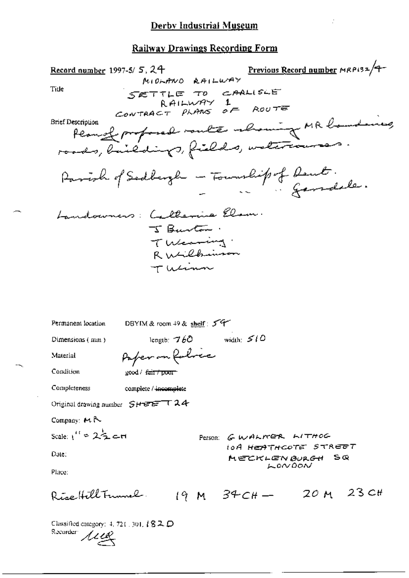Previous Record number MRP132/9-Record number 1997-5/ $5,24$ MIDLAND RAILWAY SETTLE TO CARLISLE<br>RAILWAY 1<br>CONTRACT PLANS OF ROUTE Title Permet profosod voute abount MR boundaries **Brief Description** roads, buildings, fields, watercourses. Parish of Sadbergh - Township of Deut. Landowners: Calterine Elan. J Burton. Tuesday. R Wilbinson Tucinn DBYIM & room  $49$  & shelf:  $54$ Permanent location length:  $760$ width:  $510$ Dimensions (mm) Paper on folice Material Condition good / fair / poor Completeness complete / incomplete Original drawing number SHEET24 Company: MR Scale:  $1'' = 2\frac{1}{2}$  c-ri Person: GWALTER LITHOG IOA HEATHCOTE STREET Date: MECKLENBURGH SQ LONDON Place: Rise Hill Tunnel  $19 M$  34 CH - 20 M 23 CH Classified category: 4, 721, 301,  $\sqrt{82}$  D

Recorder Aug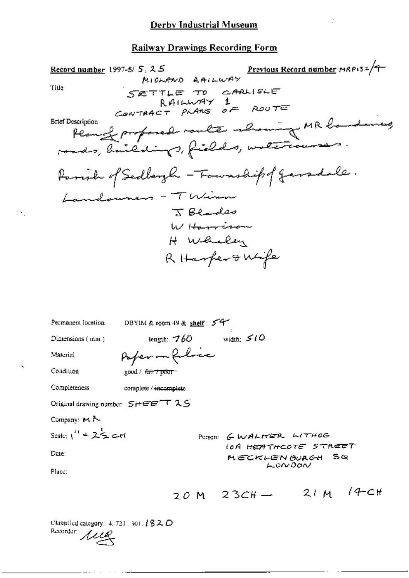$\frac{1}{2}$ 

## **Railway Drawings Recording Form**

Classified category:  $4.721$ , 301, 1820<br>Recorder:  $MLQ$ 

 $\cdots$ 

 $\ddotsc$ 

 $\sim$ 

 $\cdot$   $\sim$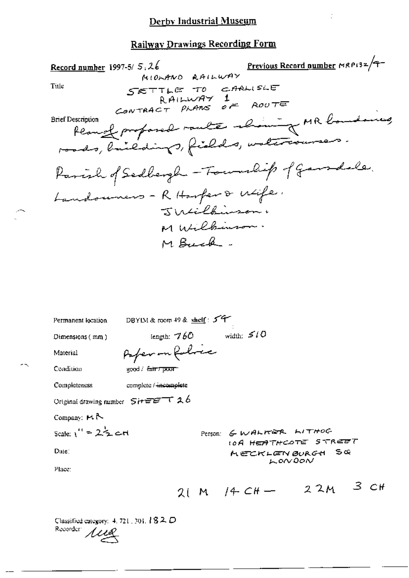| Previous Record number MRP132/9-<br>Record number 1997-5/5, 26<br>MIOLANO RAILWAY<br>Title<br>SETTLE TO CARLISLE<br>RAILWAY                  |
|----------------------------------------------------------------------------------------------------------------------------------------------|
| CONTRACT PLANS OF ROUTE<br>Remode profond route about of MR boundaries<br><b>Brief Description</b><br>roads, buildings, fields, untercourses |
| Parish of Sedbergh - Township of Garridale.<br>Landouners - R Harper & Wife.<br>Jutilkinson,<br>M Wilbinson.<br>M Buck.                      |
| DBYIM & room 49 & shelf: 54<br>Permanent location<br>width: $510$<br>length: $760$<br>Dimensions $(mn)$<br>Paper on Robine<br>Material       |

good / fair / poor

Completeness complete / incomplete

Original drawing number  $S$ it  $E = 126$ 

Company:  $H \uparrow$ 

Condition

$$
Scale: 1'' = 2\mathcal{F} \text{ and }
$$

Date:

Person: GWALKER LITHOG **10A HEATHCOTE STREET** چ ڪ **MECKLENBURGH**  $k$  on DON

Place:

$$
2(M / 4 CH - 22M)^3 CH
$$

 $\sim$ 

Classified category: 4, 721, 301, 182D Recorder *Alle*